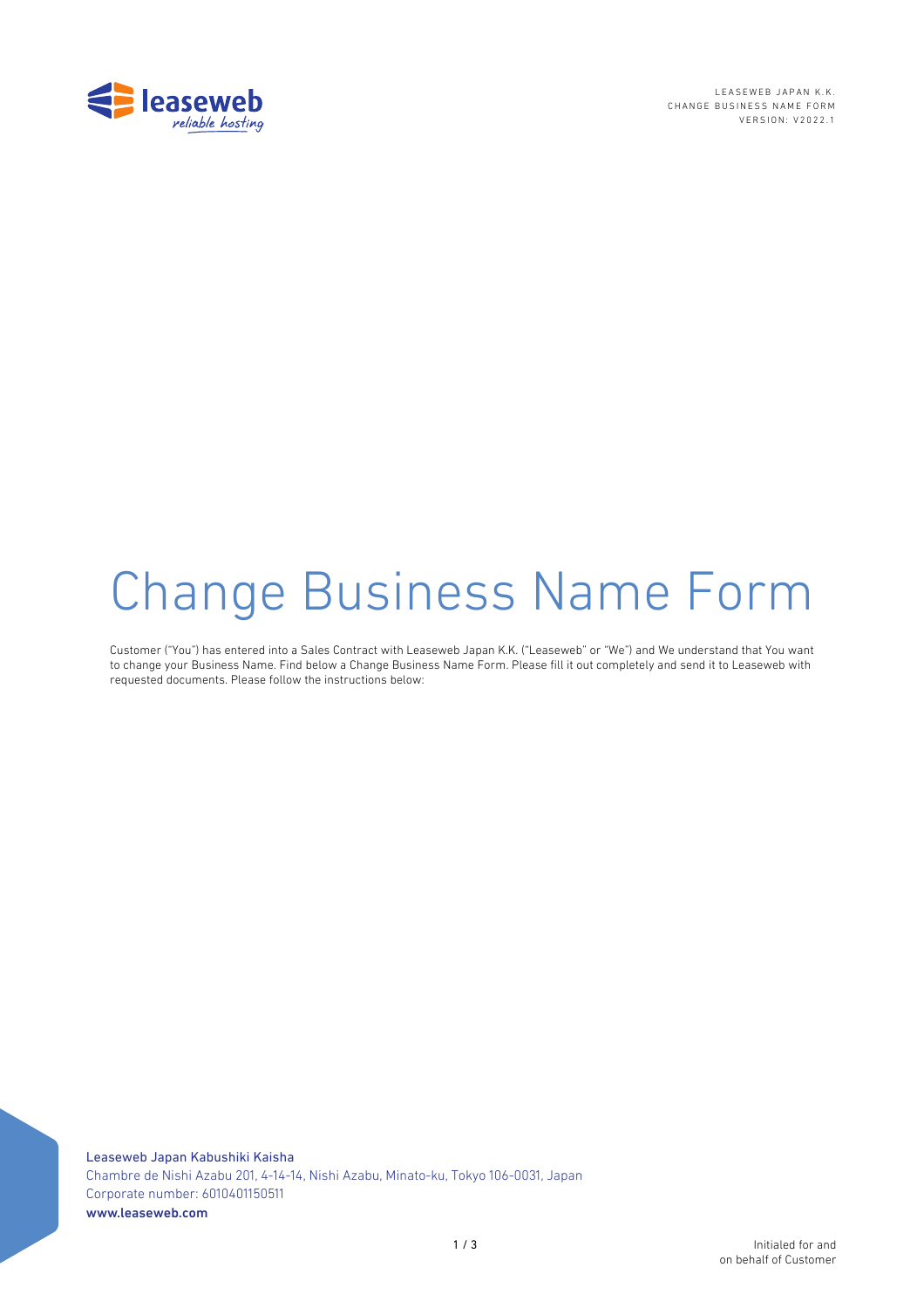

LEASEWEB JAPAN K.K. CHANGE BUSINESS NAME FORM VERSION: V2022.1

# Change Business Name Form

Customer ("You") has entered into a Sales Contract with Leaseweb Japan K.K. ("Leaseweb" or "We") and We understand that You want to change your Business Name. Find below a Change Business Name Form. Please fill it out completely and send it to Leaseweb with requested documents. Please follow the instructions below: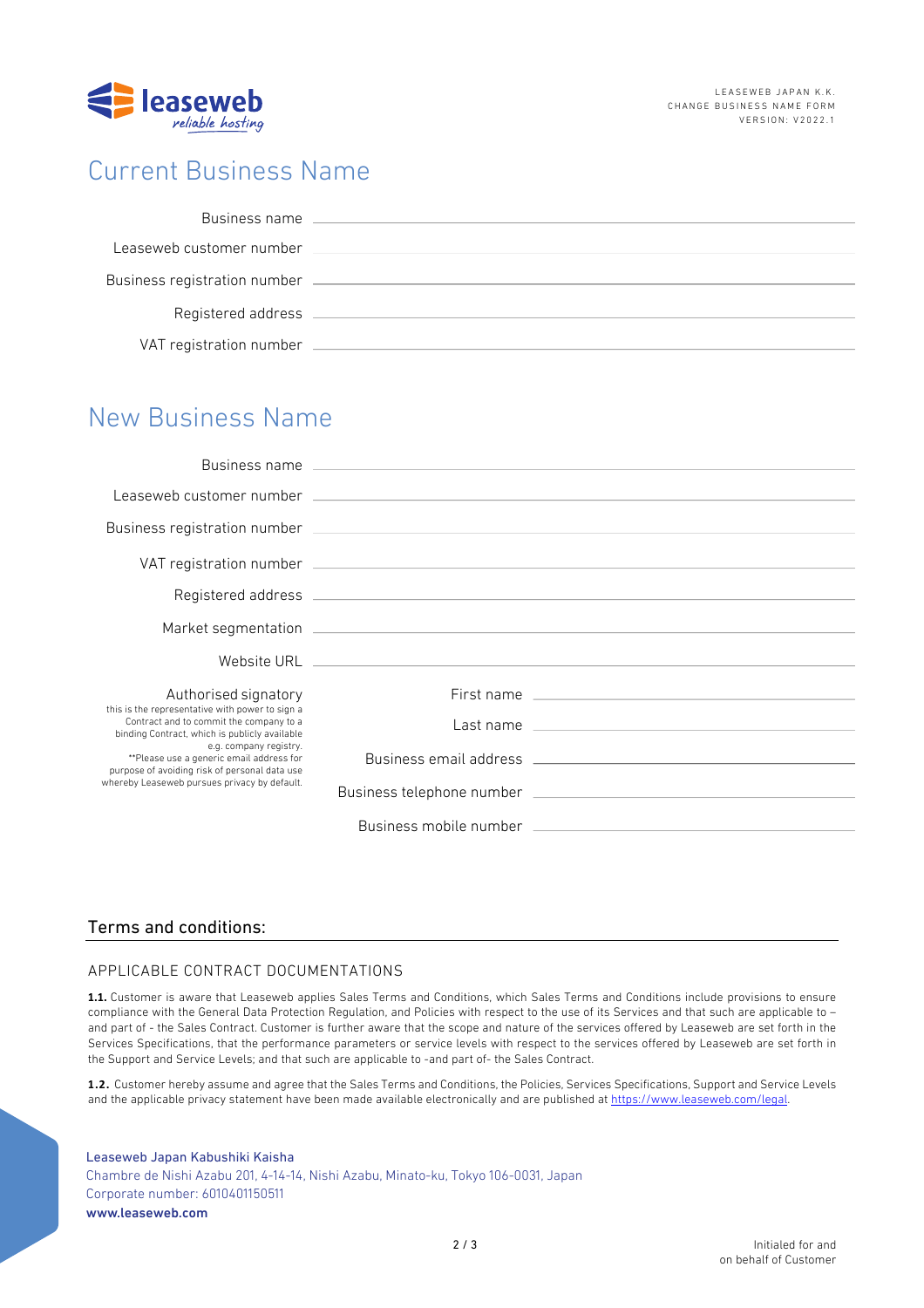

## Current Business Name

## New Business Name

|                                                                                                                                                                                                                                                                                                                    | Business name and the contract of the contract of the contract of the contract of the contract of the contract of the contract of the contract of the contract of the contract of the contract of the contract of the contract |                                                                                                                                                                                                                                |
|--------------------------------------------------------------------------------------------------------------------------------------------------------------------------------------------------------------------------------------------------------------------------------------------------------------------|--------------------------------------------------------------------------------------------------------------------------------------------------------------------------------------------------------------------------------|--------------------------------------------------------------------------------------------------------------------------------------------------------------------------------------------------------------------------------|
|                                                                                                                                                                                                                                                                                                                    |                                                                                                                                                                                                                                | Leaseweb customer number (2002) 2003 and 2004 and 2004 and 2004 and 2004 and 2004 and 2004 and 2004 and 2004 and 2004 and 2004 and 2004 and 2004 and 2004 and 2004 and 2004 and 2004 and 2004 and 2004 and 2004 and 2004 and 2 |
|                                                                                                                                                                                                                                                                                                                    |                                                                                                                                                                                                                                |                                                                                                                                                                                                                                |
|                                                                                                                                                                                                                                                                                                                    |                                                                                                                                                                                                                                |                                                                                                                                                                                                                                |
|                                                                                                                                                                                                                                                                                                                    |                                                                                                                                                                                                                                |                                                                                                                                                                                                                                |
|                                                                                                                                                                                                                                                                                                                    |                                                                                                                                                                                                                                |                                                                                                                                                                                                                                |
|                                                                                                                                                                                                                                                                                                                    |                                                                                                                                                                                                                                |                                                                                                                                                                                                                                |
| Authorised signatory                                                                                                                                                                                                                                                                                               |                                                                                                                                                                                                                                |                                                                                                                                                                                                                                |
| this is the representative with power to sign a<br>Contract and to commit the company to a<br>binding Contract, which is publicly available<br>e.g. company registry.<br>**Please use a generic email address for<br>purpose of avoiding risk of personal data use<br>whereby Leaseweb pursues privacy by default. |                                                                                                                                                                                                                                | Last name experience and the state of the state of the state of the state of the state of the state of the state of the state of the state of the state of the state of the state of the state of the state of the state of th |
|                                                                                                                                                                                                                                                                                                                    |                                                                                                                                                                                                                                | Business email address and the control of the control of the control of the control of the control of the control of the control of the control of the control of the control of the control of the control of the control of  |
|                                                                                                                                                                                                                                                                                                                    |                                                                                                                                                                                                                                |                                                                                                                                                                                                                                |
|                                                                                                                                                                                                                                                                                                                    |                                                                                                                                                                                                                                | Business mobile number that the control of the control of the control of the control of the control of the control of the control of the control of the control of the control of the control of the control of the control of |

### Terms and conditions:

#### APPLICABLE CONTRACT DOCUMENTATIONS

**1.1.** Customer is aware that Leaseweb applies Sales Terms and Conditions, which Sales Terms and Conditions include provisions to ensure compliance with the General Data Protection Regulation, and Policies with respect to the use of its Services and that such are applicable to – and part of - the Sales Contract. Customer is further aware that the scope and nature of the services offered by Leaseweb are set forth in the Services Specifications, that the performance parameters or service levels with respect to the services offered by Leaseweb are set forth in the Support and Service Levels; and that such are applicable to -and part of- the Sales Contract.

**1.2.** Customer hereby assume and agree that the Sales Terms and Conditions, the Policies, Services Specifications, Support and Service Levels and the applicable privacy statement have been made available electronically and are published at https://www.leaseweb.com/legal.

Leaseweb Japan Kabushiki Kaisha Chambre de Nishi Azabu 201, 4-14-14, Nishi Azabu, Minato-ku, Tokyo 106-0031, Japan Corporate number: 6010401150511 www.leaseweb.com